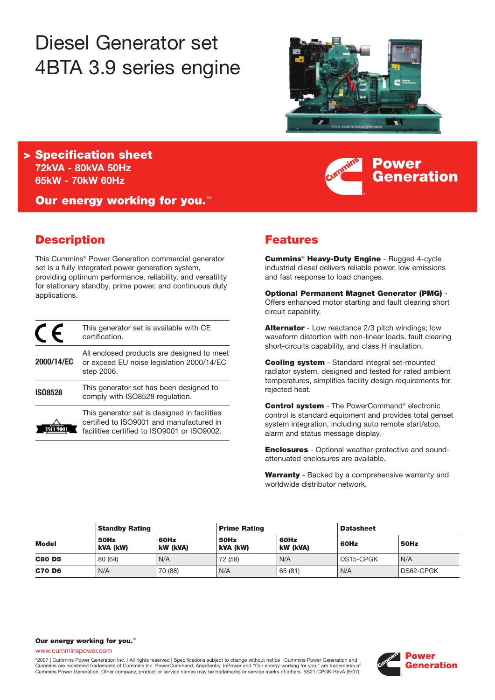# Diesel Generator set 4BTA 3.9 series engine



**Power**

**Generation**

**> Specification sheet 72kVA - 80kVA 50Hz 65kW - 70kW 60Hz** 

**Our energy working for you.**™

# **Description**

This Cummins® Power Generation commercial generator set is a fully integrated power generation system, providing optimum performance, reliability, and versatility for stationary standby, prime power, and continuous duty applications.

|                | This generator set is available with CE<br>certification.                                                                               |
|----------------|-----------------------------------------------------------------------------------------------------------------------------------------|
| 2000/14/EC     | All enclosed products are designed to meet<br>or exceed EU noise legislation 2000/14/EC<br>step 2006.                                   |
| <b>IS08528</b> | This generator set has been designed to<br>comply with ISO8528 regulation.                                                              |
|                | This generator set is designed in facilities<br>certified to ISO9001 and manufactured in<br>facilities certified to ISO9001 or ISO9002. |

# **Features**

**Cummins**® **Heavy-Duty Engine** - Rugged 4-cycle industrial diesel delivers reliable power, low emissions and fast response to load changes.

**Optional Permanent Magnet Generator (PMG)** - Offers enhanced motor starting and fault clearing short circuit capability.

**Alternator** - Low reactance 2/3 pitch windings; low waveform distortion with non-linear loads, fault clearing short-circuits capability, and class H insulation.

**Cooling system** - Standard integral set-mounted radiator system, designed and tested for rated ambient temperatures, simplifies facility design requirements for rejected heat.

**Control system** - The PowerCommand® electronic control is standard equipment and provides total genset system integration, including auto remote start/stop, alarm and status message display.

**Enclosures** - Optional weather-protective and soundattenuated enclosures are available.

**Warranty** - Backed by a comprehensive warranty and worldwide distributor network.

| <b>Standby Rating</b> |                  | <b>Prime Rating</b> |                  | <b>Datasheet</b>        |           |           |
|-----------------------|------------------|---------------------|------------------|-------------------------|-----------|-----------|
| <b>Model</b>          | 50Hz<br>kVA (kW) | 60Hz<br>kW (kVA)    | 50Hz<br>kVA (kW) | 60Hz<br><b>kW (kVA)</b> | 60Hz      | 50Hz      |
| <b>C80 D5</b>         | 80 (64)          | N/A                 | 72 (58)          | N/A                     | DS15-CPGK | N/A       |
| <b>C70 D6</b>         | N/A              | 70 (88)             | N/A              | 65 (81)                 | N/A       | DS62-CPGK |

#### **Our energy working for you.**™

www.cumminspower.com

©2007 | Cummins Power Generation Inc. | All rights reserved | Specifications subject to change without notice | Cummins Power Generation and Cummins are registered trademarks of Cummins Inc. PowerCommand, AmpSentry, InPower and "Our energy working for you." are trademarks of Cummins Power Generation. Other company, product or service names may be trademarks or service marks of others. SS21-CPGK-RevA (9/07).

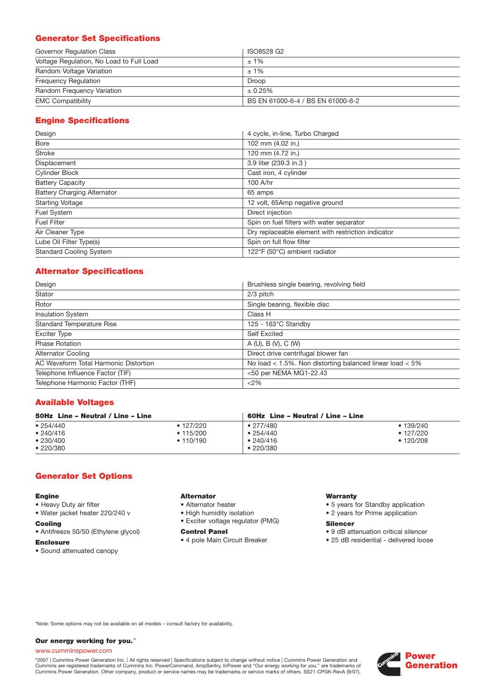## **Generator Set Specifications**

| Governor Regulation Class                | ISO8528 G2                        |
|------------------------------------------|-----------------------------------|
| Voltage Regulation, No Load to Full Load | $±1\%$                            |
| Random Voltage Variation                 | $±1\%$                            |
| <b>Frequency Regulation</b>              | Droop                             |
| Random Frequency Variation               | ± 0.25%                           |
| <b>EMC Compatibility</b>                 | BS EN 61000-6-4 / BS EN 61000-6-2 |

## **Engine Specifications**

| Design                             | 4 cycle, in-line, Turbo Charged                    |
|------------------------------------|----------------------------------------------------|
| Bore                               | 102 mm (4.02 in.)                                  |
| <b>Stroke</b>                      | 120 mm (4.72 in.)                                  |
| Displacement                       | 3.9 liter (239.3 in.3)                             |
| <b>Cylinder Block</b>              | Cast iron, 4 cylinder                              |
| <b>Battery Capacity</b>            | 100 A/hr                                           |
| <b>Battery Charging Alternator</b> | 65 amps                                            |
| <b>Starting Voltage</b>            | 12 volt, 65Amp negative ground                     |
| Fuel System                        | Direct injection                                   |
| <b>Fuel Filter</b>                 | Spin on fuel filters with water separator          |
| Air Cleaner Type                   | Dry replaceable element with restriction indicator |
| Lube Oil Filter Type(s)            | Spin on full flow filter                           |
| <b>Standard Cooling System</b>     | 122°F (50°C) ambient radiator                      |

## **Alternator Specifications**

| Design                                | Brushless single bearing, revolving field                    |
|---------------------------------------|--------------------------------------------------------------|
| Stator                                | 2/3 pitch                                                    |
| Rotor                                 | Single bearing, flexible disc                                |
| <b>Insulation System</b>              | Class H                                                      |
| <b>Standard Temperature Rise</b>      | $125 - 163^{\circ}$ C Standby                                |
| <b>Exciter Type</b>                   | <b>Self Excited</b>                                          |
| <b>Phase Rotation</b>                 | A(U), B(V), C(W)                                             |
| <b>Alternator Cooling</b>             | Direct drive centrifugal blower fan                          |
| AC Waveform Total Harmonic Distortion | No load $<$ 1.5%. Non distorting balanced linear load $<$ 5% |
| Telephone Influence Factor (TIF)      | <50 per NEMA MG1-22.43                                       |
| Telephone Harmonic Factor (THF)       | <2%                                                          |

## **Available Voltages**

| 50Hz Line - Neutral / Line - Line              |                                                   | 60Hz Line - Neutral / Line - Line                                     |                                                 |
|------------------------------------------------|---------------------------------------------------|-----------------------------------------------------------------------|-------------------------------------------------|
| • 254/440<br>• 240/416<br>•230/400<br>•220/380 | $\bullet$ 127/220<br>$\cdot$ 115/200<br>• 110/190 | $\bullet$ 277/480<br>$\bullet$ 254/440<br>•240/416<br>$\cdot$ 220/380 | • 139/240<br>$\cdot$ 127/220<br>$\cdot$ 120/208 |

## **Generator Set Options**

#### **Engine**

- Heavy Duty air filter
- Water jacket heater 220/240 v

#### **Cooling**

- Antifreeze 50/50 (Ethylene glycol)
- **Enclosure**
- Sound attenuated canopy

#### **Alternator**

- Alternator heater
- High humidity isolation
- Exciter voltage regulator (PMG)

#### **Control Panel**

• 4 pole Main Circuit Breaker

#### **Warranty**

- 5 years for Standby application
- 2 years for Prime application

#### **Silencer**

- 9 dB attenuation critical silencer
- 25 dB residential delivered loose

\*Note: Some options may not be available on all models – consult factory for availability.

#### **Our energy working for you.**™

#### www.cumminspower.com

°2007 | Cummins Power Generation Inc. | All rights reserved | Specifications subject to change without notice | Cummins Power Generation and<br>Cummins are registered trademarks of Cummins Inc. PowerCommand, AmpSentry, InPow

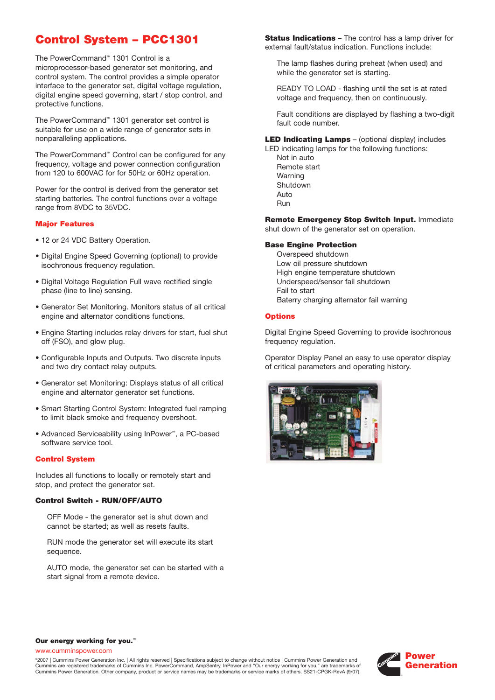# **Control System – PCC1301**

The PowerCommand™ 1301 Control is a microprocessor-based generator set monitoring, and control system. The control provides a simple operator interface to the generator set, digital voltage regulation, digital engine speed governing, start / stop control, and protective functions.

The PowerCommand™ 1301 generator set control is suitable for use on a wide range of generator sets in nonparalleling applications.

The PowerCommand™ Control can be configured for any frequency, voltage and power connection configuration from 120 to 600VAC for for 50Hz or 60Hz operation.

Power for the control is derived from the generator set starting batteries. The control functions over a voltage range from 8VDC to 35VDC.

#### **Major Features**

- 12 or 24 VDC Battery Operation.
- Digital Engine Speed Governing (optional) to provide isochronous frequency regulation.
- Digital Voltage Regulation Full wave rectified single phase (line to line) sensing.
- Generator Set Monitoring. Monitors status of all critical engine and alternator conditions functions.
- Engine Starting includes relay drivers for start, fuel shut off (FSO), and glow plug.
- Configurable Inputs and Outputs. Two discrete inputs and two dry contact relay outputs.
- Generator set Monitoring: Displays status of all critical engine and alternator generator set functions.
- Smart Starting Control System: Integrated fuel ramping to limit black smoke and frequency overshoot.
- Advanced Serviceability using InPower™, a PC-based software service tool.

#### **Control System**

Includes all functions to locally or remotely start and stop, and protect the generator set.

#### **Control Switch - RUN/OFF/AUTO**

OFF Mode - the generator set is shut down and cannot be started; as well as resets faults.

RUN mode the generator set will execute its start sequence.

AUTO mode, the generator set can be started with a start signal from a remote device.

**Status Indications** – The control has a lamp driver for external fault/status indication. Functions include:

The lamp flashes during preheat (when used) and while the generator set is starting.

READY TO LOAD - flashing until the set is at rated voltage and frequency, then on continuously.

Fault conditions are displayed by flashing a two-digit fault code number.

**LED Indicating Lamps** – (optional display) includes

LED indicating lamps for the following functions: Not in auto Remote start Warning Shutdown Auto Run

**Remote Emergency Stop Switch Input.** Immediate shut down of the generator set on operation.

#### **Base Engine Protection**

Overspeed shutdown Low oil pressure shutdown High engine temperature shutdown Underspeed/sensor fail shutdown Fail to start Baterry charging alternator fail warning

#### **Options**

Digital Engine Speed Governing to provide isochronous frequency regulation.

Operator Display Panel an easy to use operator display of critical parameters and operating history.



#### **Our energy working for you.**™

www.cumminspower.com

©2007 | Cummins Power Generation Inc. | All rights reserved | Specifications subject to change without notice | Cummins Power Generation and Cummins are registered trademarks of Cummins Inc. PowerCommand, AmpSentry, InPower and "Our energy working for you." are trademarks of Cummins Power Generation. Other company, product or service names may be trademarks or service marks of others. SS21-CPGK-RevA (9/07).